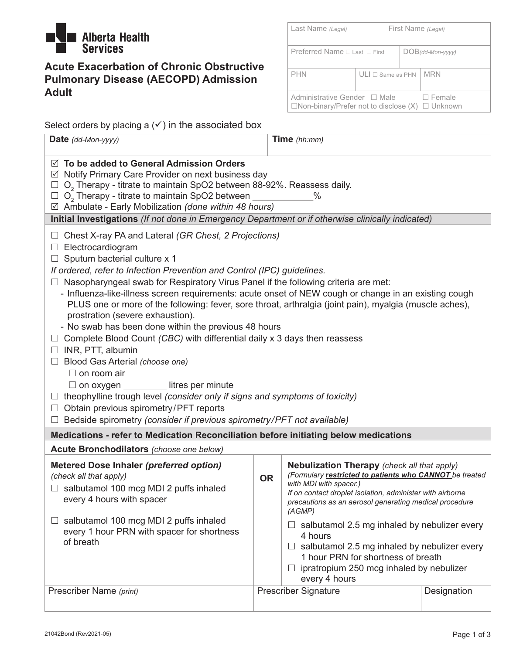

# **Acute Exacerbation of Chronic Obstructive Pulmonary Disease (AECOPD) Admission Adult**

| Last Name (Legal)                           |                                                               | First Name (Legal) |                     |               |  |
|---------------------------------------------|---------------------------------------------------------------|--------------------|---------------------|---------------|--|
| Preferred Name $\sqcap$ Last $\sqcap$ First |                                                               |                    | $DOB$ (dd-Mon-yyyy) |               |  |
| <b>PHN</b>                                  | $ULI \square$ Same as PHN                                     |                    |                     | <b>MRN</b>    |  |
| Administrative Gender □ Male                | $\Box$ Non-binary/Prefer not to disclose $(X)$ $\Box$ Unknown |                    |                     | $\Box$ Female |  |

Select orders by placing a  $(\checkmark)$  in the associated box

| Date (dd-Mon-yyyy)                                                                                                                                                                                                                                                                                                                                                                                                                                                                                                                                                                                                                                                                                                                                                                                                                                                                                                                                                                                                                                                 |  | Time (hh:mm)                |             |  |  |  |  |  |
|--------------------------------------------------------------------------------------------------------------------------------------------------------------------------------------------------------------------------------------------------------------------------------------------------------------------------------------------------------------------------------------------------------------------------------------------------------------------------------------------------------------------------------------------------------------------------------------------------------------------------------------------------------------------------------------------------------------------------------------------------------------------------------------------------------------------------------------------------------------------------------------------------------------------------------------------------------------------------------------------------------------------------------------------------------------------|--|-----------------------------|-------------|--|--|--|--|--|
| $\boxtimes$ To be added to General Admission Orders<br>$\boxtimes$ Notify Primary Care Provider on next business day<br>O <sub>2</sub> Therapy - titrate to maintain SpO2 between 88-92%. Reassess daily.<br>O <sub>2</sub> Therapy - titrate to maintain SpO2 between<br>$\%$<br>$\boxtimes$ Ambulate - Early Mobilization (done within 48 hours)                                                                                                                                                                                                                                                                                                                                                                                                                                                                                                                                                                                                                                                                                                                 |  |                             |             |  |  |  |  |  |
| Initial Investigations (If not done in Emergency Department or if otherwise clinically indicated)                                                                                                                                                                                                                                                                                                                                                                                                                                                                                                                                                                                                                                                                                                                                                                                                                                                                                                                                                                  |  |                             |             |  |  |  |  |  |
| $\Box$ Chest X-ray PA and Lateral (GR Chest, 2 Projections)<br>$\Box$ Electrocardiogram<br>$\Box$ Sputum bacterial culture x 1<br>If ordered, refer to Infection Prevention and Control (IPC) guidelines.<br>$\Box$ Nasopharyngeal swab for Respiratory Virus Panel if the following criteria are met:<br>- Influenza-like-illness screen requirements: acute onset of NEW cough or change in an existing cough<br>PLUS one or more of the following: fever, sore throat, arthralgia (joint pain), myalgia (muscle aches),<br>prostration (severe exhaustion).<br>- No swab has been done within the previous 48 hours<br>$\Box$ Complete Blood Count (CBC) with differential daily x 3 days then reassess<br>$\Box$ INR, PTT, albumin<br>□ Blood Gas Arterial (choose one)<br>$\Box$ on room air<br>litres per minute<br>$\Box$ on oxygen $\Box$<br>$\Box$ theophylline trough level (consider only if signs and symptoms of toxicity)<br>$\Box$ Obtain previous spirometry/PFT reports<br>Bedside spirometry (consider if previous spirometry/PFT not available) |  |                             |             |  |  |  |  |  |
| Medications - refer to Medication Reconciliation before initiating below medications                                                                                                                                                                                                                                                                                                                                                                                                                                                                                                                                                                                                                                                                                                                                                                                                                                                                                                                                                                               |  |                             |             |  |  |  |  |  |
| Acute Bronchodilators (choose one below)                                                                                                                                                                                                                                                                                                                                                                                                                                                                                                                                                                                                                                                                                                                                                                                                                                                                                                                                                                                                                           |  |                             |             |  |  |  |  |  |
| <b>Metered Dose Inhaler (preferred option)</b><br><b>Nebulization Therapy</b> (check all that apply)<br>(Formulary restricted to patients who CANNOT be treated<br>(check all that apply)<br><b>OR</b><br>with MDI with spacer.)<br>$\Box$ salbutamol 100 mcg MDI 2 puffs inhaled<br>If on contact droplet isolation, administer with airborne<br>every 4 hours with spacer<br>precautions as an aerosol generating medical procedure<br>(AGMP)<br>salbutamol 100 mcg MDI 2 puffs inhaled<br>salbutamol 2.5 mg inhaled by nebulizer every<br>$\Box$<br>every 1 hour PRN with spacer for shortness<br>4 hours<br>of breath<br>$\Box$ salbutamol 2.5 mg inhaled by nebulizer every<br>1 hour PRN for shortness of breath<br>ipratropium 250 mcg inhaled by nebulizer<br>every 4 hours                                                                                                                                                                                                                                                                                |  |                             |             |  |  |  |  |  |
| Prescriber Name (print)                                                                                                                                                                                                                                                                                                                                                                                                                                                                                                                                                                                                                                                                                                                                                                                                                                                                                                                                                                                                                                            |  | <b>Prescriber Signature</b> | Designation |  |  |  |  |  |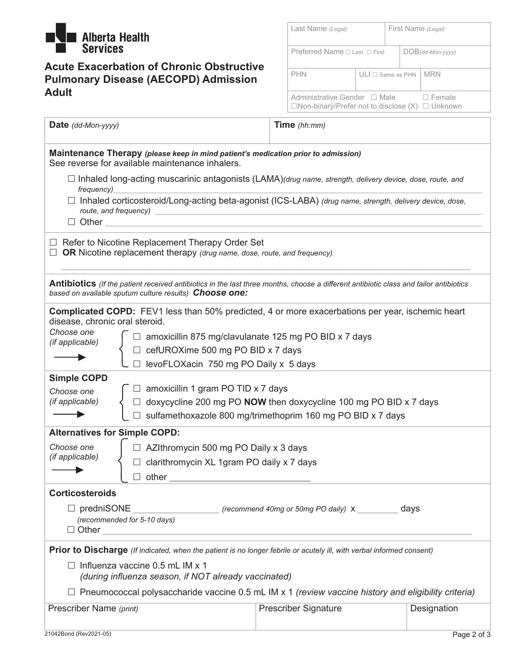

## **Acute Exacerbation of Chronic Obstructive Pulmonary Disease (AECOPD) Admission Adult**

| Last Name (Legal)                       |                                                                                               | First Name (Legal) |                     |               |
|-----------------------------------------|-----------------------------------------------------------------------------------------------|--------------------|---------------------|---------------|
| Preferred Name $\Box$ Last $\Box$ First |                                                                                               |                    | $DOB$ (dd-Mon-yyyy) |               |
| <b>PHN</b>                              | $ULI \sqcap$ Same as PHN                                                                      |                    |                     | <b>MRN</b>    |
|                                         | Administrative Gender □ Male<br>$\Box$ Non-binary/Prefer not to disclose $(X)$ $\Box$ Unknown |                    |                     | $\Box$ Female |

| Date (dd-Mon-yyyy)                                                                                                                   |                                                                                                                                                                                                                               | Time (hh:mm)                                                                                                                          |  |  |  |  |  |  |  |
|--------------------------------------------------------------------------------------------------------------------------------------|-------------------------------------------------------------------------------------------------------------------------------------------------------------------------------------------------------------------------------|---------------------------------------------------------------------------------------------------------------------------------------|--|--|--|--|--|--|--|
| Maintenance Therapy (please keep in mind patient's medication prior to admission)<br>See reverse for available maintenance inhalers. |                                                                                                                                                                                                                               |                                                                                                                                       |  |  |  |  |  |  |  |
| $\Box$ Inhaled long-acting muscarinic antagonists (LAMA)(drug name, strength, delivery device, dose, route, and<br>frequency)        |                                                                                                                                                                                                                               |                                                                                                                                       |  |  |  |  |  |  |  |
|                                                                                                                                      | □ Inhaled corticosteroid/Long-acting beta-agonist (ICS-LABA) (drug name, strength, delivery device, dose,<br>$\Box$ Other $\Box$                                                                                              |                                                                                                                                       |  |  |  |  |  |  |  |
|                                                                                                                                      | $\Box$ Refer to Nicotine Replacement Therapy Order Set<br>OR Nicotine replacement therapy (drug name, dose, route, and frequency)                                                                                             |                                                                                                                                       |  |  |  |  |  |  |  |
|                                                                                                                                      | based on available sputum culture results) Choose one:                                                                                                                                                                        | Antibiotics (If the patient received antibiotics in the last three months, choose a different antibiotic class and tailor antibiotics |  |  |  |  |  |  |  |
| disease, chronic oral steroid.                                                                                                       |                                                                                                                                                                                                                               | <b>Complicated COPD:</b> FEV1 less than 50% predicted, 4 or more exacerbations per year, ischemic heart                               |  |  |  |  |  |  |  |
| Choose one<br>(if applicable)                                                                                                        |                                                                                                                                                                                                                               |                                                                                                                                       |  |  |  |  |  |  |  |
|                                                                                                                                      | □ amoxicillin 875 mg/clavulanate 125 mg PO BID x 7 days<br>□ cefUROXime 500 mg PO BID x 7 days                                                                                                                                |                                                                                                                                       |  |  |  |  |  |  |  |
|                                                                                                                                      | levoFLOXacin 750 mg PO Daily x 5 days                                                                                                                                                                                         |                                                                                                                                       |  |  |  |  |  |  |  |
| <b>Simple COPD</b><br>Choose one<br>(if applicable)                                                                                  | $\Box$ amoxicillin 1 gram PO TID x 7 days                                                                                                                                                                                     | □ doxycycline 200 mg PO NOW then doxycycline 100 mg PO BID x 7 days<br>sulfamethoxazole 800 mg/trimethoprim 160 mg PO BID x 7 days    |  |  |  |  |  |  |  |
| <b>Alternatives for Simple COPD:</b>                                                                                                 |                                                                                                                                                                                                                               |                                                                                                                                       |  |  |  |  |  |  |  |
| Choose one                                                                                                                           | □ AZIthromycin 500 mg PO Daily x 3 days                                                                                                                                                                                       |                                                                                                                                       |  |  |  |  |  |  |  |
| (if applicable)                                                                                                                      | □ clarithromycin XL 1gram PO daily x 7 days                                                                                                                                                                                   |                                                                                                                                       |  |  |  |  |  |  |  |
|                                                                                                                                      | other and the contract of the contract of the contract of the contract of the contract of the contract of the contract of the contract of the contract of the contract of the contract of the contract of the contract of the |                                                                                                                                       |  |  |  |  |  |  |  |
| <b>Corticosteroids</b>                                                                                                               |                                                                                                                                                                                                                               |                                                                                                                                       |  |  |  |  |  |  |  |
| $\Box$ predniSONE<br>(recommend 40mg or 50mg PO daily) X days<br>(recommended for 5-10 days)<br>□ Other __________________           |                                                                                                                                                                                                                               |                                                                                                                                       |  |  |  |  |  |  |  |
| Prior to Discharge (If indicated, when the patient is no longer febrile or acutely ill, with verbal informed consent)                |                                                                                                                                                                                                                               |                                                                                                                                       |  |  |  |  |  |  |  |
| $\Box$ Influenza vaccine 0.5 mL IM x 1<br>(during influenza season, if NOT already vaccinated)                                       |                                                                                                                                                                                                                               |                                                                                                                                       |  |  |  |  |  |  |  |
|                                                                                                                                      |                                                                                                                                                                                                                               | $\Box$ Pneumococcal polysaccharide vaccine 0.5 mL IM x 1 (review vaccine history and eligibility criteria)                            |  |  |  |  |  |  |  |
|                                                                                                                                      | <b>Prescriber Signature</b><br>Prescriber Name (print)<br>Designation                                                                                                                                                         |                                                                                                                                       |  |  |  |  |  |  |  |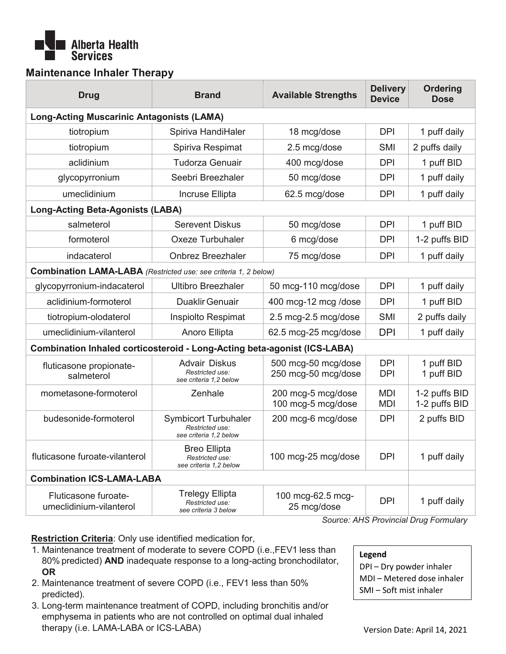

### **Maintenance Inhaler Therapy**

| <b>Drug</b>                                                              | <b>Brand</b>                                                             | <b>Available Strengths</b>                 | <b>Delivery</b><br><b>Device</b> | <b>Ordering</b><br><b>Dose</b> |  |  |  |
|--------------------------------------------------------------------------|--------------------------------------------------------------------------|--------------------------------------------|----------------------------------|--------------------------------|--|--|--|
| <b>Long-Acting Muscarinic Antagonists (LAMA)</b>                         |                                                                          |                                            |                                  |                                |  |  |  |
| tiotropium                                                               | Spiriva HandiHaler                                                       | 18 mcg/dose                                | <b>DPI</b>                       | 1 puff daily                   |  |  |  |
| tiotropium                                                               | Spiriva Respimat                                                         | 2.5 mcg/dose                               | SMI                              | 2 puffs daily                  |  |  |  |
| aclidinium                                                               | <b>Tudorza Genuair</b>                                                   | 400 mcg/dose                               | <b>DPI</b>                       | 1 puff BID                     |  |  |  |
| glycopyrronium                                                           | Seebri Breezhaler                                                        | 50 mcg/dose                                | <b>DPI</b>                       | 1 puff daily                   |  |  |  |
| umeclidinium                                                             | Incruse Ellipta                                                          | 62.5 mcg/dose                              | <b>DPI</b>                       | 1 puff daily                   |  |  |  |
| <b>Long-Acting Beta-Agonists (LABA)</b>                                  |                                                                          |                                            |                                  |                                |  |  |  |
| salmeterol                                                               | <b>Serevent Diskus</b>                                                   | 50 mcg/dose                                | <b>DPI</b>                       | 1 puff BID                     |  |  |  |
| formoterol                                                               | <b>Oxeze Turbuhaler</b>                                                  | 6 mcg/dose                                 | <b>DPI</b>                       | 1-2 puffs BID                  |  |  |  |
| indacaterol                                                              | <b>Onbrez Breezhaler</b>                                                 | 75 mcg/dose                                | <b>DPI</b>                       | 1 puff daily                   |  |  |  |
| <b>Combination LAMA-LABA</b> (Restricted use: see criteria 1, 2 below)   |                                                                          |                                            |                                  |                                |  |  |  |
| glycopyrronium-indacaterol                                               | <b>Ultibro Breezhaler</b>                                                | 50 mcg-110 mcg/dose                        | <b>DPI</b>                       | 1 puff daily                   |  |  |  |
| aclidinium-formoterol                                                    | <b>Duaklir Genuair</b>                                                   | 400 mcg-12 mcg /dose                       | <b>DPI</b>                       | 1 puff BID                     |  |  |  |
| tiotropium-olodaterol                                                    | Inspiolto Respimat                                                       | 2.5 mcg-2.5 mcg/dose                       | SMI                              | 2 puffs daily                  |  |  |  |
| umeclidinium-vilanterol                                                  | Anoro Ellipta                                                            | 62.5 mcg-25 mcg/dose                       | <b>DPI</b>                       | 1 puff daily                   |  |  |  |
| Combination Inhaled corticosteroid - Long-Acting beta-agonist (ICS-LABA) |                                                                          |                                            |                                  |                                |  |  |  |
| fluticasone propionate-<br>salmeterol                                    | <b>Advair Diskus</b><br>Restricted use:<br>see criteria 1.2 below        | 500 mcg-50 mcg/dose<br>250 mcg-50 mcg/dose | <b>DPI</b><br><b>DPI</b>         | 1 puff BID<br>1 puff BID       |  |  |  |
| mometasone-formoterol                                                    | Zenhale                                                                  | 200 mcg-5 mcg/dose<br>100 mcg-5 mcg/dose   | <b>MDI</b><br><b>MDI</b>         | 1-2 puffs BID<br>1-2 puffs BID |  |  |  |
| budesonide-formoterol                                                    | <b>Symbicort Turbuhaler</b><br>Restricted use:<br>see criteria 1,2 below | 200 mcg-6 mcg/dose                         | <b>DPI</b>                       | 2 puffs BID                    |  |  |  |
| fluticasone furoate-vilanterol                                           | <b>Breo Ellipta</b><br>Restricted use:<br>see criteria 1,2 below         | 100 mcg-25 mcg/dose                        | <b>DPI</b>                       | 1 puff daily                   |  |  |  |
|                                                                          | <b>Combination ICS-LAMA-LABA</b>                                         |                                            |                                  |                                |  |  |  |
| Fluticasone furoate-<br>umeclidinium-vilanterol                          | <b>Trelegy Ellipta</b><br>Restricted use:<br>see criteria 3 below        | 100 mcg-62.5 mcg-<br>25 mcg/dose           | <b>DPI</b>                       | 1 puff daily                   |  |  |  |

*Source: AHS Provincial Drug Formulary*

**Restriction Criteria**: Only use identified medication for,

- 1. Maintenance treatment of moderate to severe COPD (i.e.,FEV1 less than 80% predicted) **AND** inadequate response to a long-acting bronchodilator, **OR**
- 2. Maintenance treatment of severe COPD (i.e., FEV1 less than 50% predicted).
- 3. Long-term maintenance treatment of COPD, including bronchitis and/or emphysema in patients who are not controlled on optimal dual inhaled therapy (i.e. LAMA-LABA or ICS-LABA)

**Legend** 

- DPI Dry powder inhaler
- MDI Metered dose inhaler
- SMI Soft mist inhaler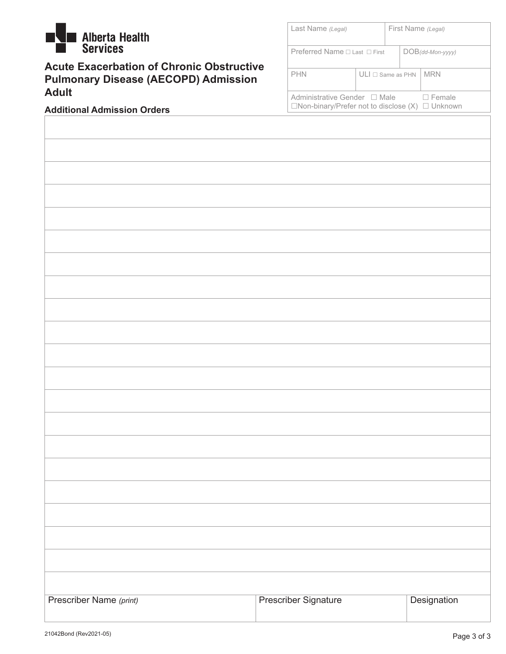

**Acute Exacerbation of Chronic Obstructive Pulmonary Disease (AECOPD) Admission Adult**

| Last Name (Legal)                                                                           |                           | First Name (Legal) |  |                     |
|---------------------------------------------------------------------------------------------|---------------------------|--------------------|--|---------------------|
| Preferred Name $\Box$ Last $\Box$ First                                                     |                           |                    |  | $DOB$ (dd-Mon-yyyy) |
| <b>PHN</b>                                                                                  | $ULI \square$ Same as PHN |                    |  | <b>MRN</b>          |
| Administrative Gender □ Male<br>$\Box$ Non-binary/Prefer not to disclose (X) $\Box$ Unknown |                           |                    |  | $\Box$ Female       |

#### **Additional Admission Orders**

| Prescriber Name (print) | <b>Prescriber Signature</b> | Designation |
|-------------------------|-----------------------------|-------------|
|                         |                             |             |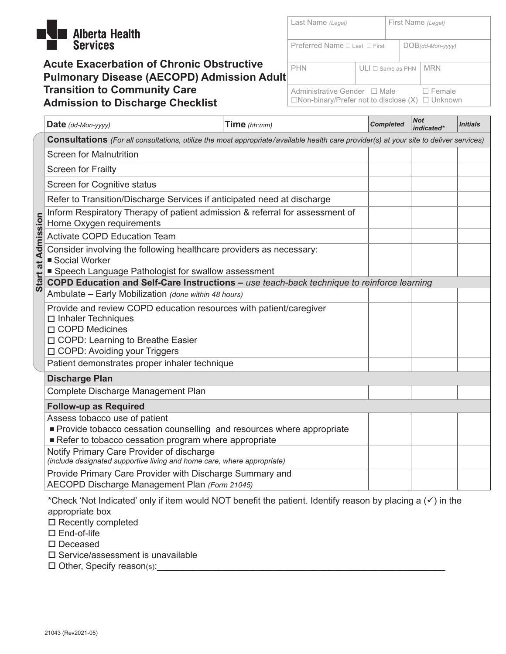

### **Acute Exacerbation of Chronic Obstructive Pulmonary Disease (AECOPD) Admission Adult Transition to Community Care Admission to Discharge Checklist**

| Last Name (Legal)                                                                             |                           | First Name (Legal) |                     |               |  |
|-----------------------------------------------------------------------------------------------|---------------------------|--------------------|---------------------|---------------|--|
| Preferred Name $\Box$ Last $\Box$ First                                                       |                           |                    | $DOB$ (dd-Mon-yyyy) |               |  |
| <b>PHN</b>                                                                                    | $ULI \square$ Same as PHN |                    |                     | <b>MRN</b>    |  |
| Administrative Gender □ Male<br>$\Box$ Non-binary/Prefer not to disclose $(X)$ $\Box$ Unknown |                           |                    |                     | $\Box$ Female |  |

|                    | Date (dd-Mon-yyyy)                                                                                                                                             | Time $(hh:mm)$ | <b>Completed</b> | <b>Not</b><br>indicated* | <b>Initials</b> |  |  |  |  |
|--------------------|----------------------------------------------------------------------------------------------------------------------------------------------------------------|----------------|------------------|--------------------------|-----------------|--|--|--|--|
|                    | Consultations (For all consultations, utilize the most appropriate/available health care provider(s) at your site to deliver services)                         |                |                  |                          |                 |  |  |  |  |
|                    | <b>Screen for Malnutrition</b>                                                                                                                                 |                |                  |                          |                 |  |  |  |  |
|                    | <b>Screen for Frailty</b>                                                                                                                                      |                |                  |                          |                 |  |  |  |  |
|                    | Screen for Cognitive status                                                                                                                                    |                |                  |                          |                 |  |  |  |  |
|                    | Refer to Transition/Discharge Services if anticipated need at discharge                                                                                        |                |                  |                          |                 |  |  |  |  |
|                    | Inform Respiratory Therapy of patient admission & referral for assessment of<br>Home Oxygen requirements                                                       |                |                  |                          |                 |  |  |  |  |
|                    | <b>Activate COPD Education Team</b>                                                                                                                            |                |                  |                          |                 |  |  |  |  |
| Start at Admission | Consider involving the following healthcare providers as necessary:<br>■ Social Worker<br>■ Speech Language Pathologist for swallow assessment                 |                |                  |                          |                 |  |  |  |  |
|                    | COPD Education and Self-Care Instructions - use teach-back technique to reinforce learning                                                                     |                |                  |                          |                 |  |  |  |  |
|                    | Ambulate - Early Mobilization (done within 48 hours)                                                                                                           |                |                  |                          |                 |  |  |  |  |
|                    | Provide and review COPD education resources with patient/caregiver<br>$\Box$ Inhaler Techniques<br>□ COPD Medicines<br>□ COPD: Learning to Breathe Easier      |                |                  |                          |                 |  |  |  |  |
|                    | □ COPD: Avoiding your Triggers                                                                                                                                 |                |                  |                          |                 |  |  |  |  |
|                    | Patient demonstrates proper inhaler technique                                                                                                                  |                |                  |                          |                 |  |  |  |  |
|                    | <b>Discharge Plan</b>                                                                                                                                          |                |                  |                          |                 |  |  |  |  |
|                    | Complete Discharge Management Plan                                                                                                                             |                |                  |                          |                 |  |  |  |  |
|                    | <b>Follow-up as Required</b>                                                                                                                                   |                |                  |                          |                 |  |  |  |  |
|                    | Assess tobacco use of patient<br>Provide tobacco cessation counselling and resources where appropriate<br>Refer to tobacco cessation program where appropriate |                |                  |                          |                 |  |  |  |  |
|                    | Notify Primary Care Provider of discharge<br>(include designated supportive living and home care, where appropriate)                                           |                |                  |                          |                 |  |  |  |  |
|                    | Provide Primary Care Provider with Discharge Summary and<br>AECOPD Discharge Management Plan (Form 21045)                                                      |                |                  |                          |                 |  |  |  |  |

\*Check 'Not Indicated' only if item would NOT benefit the patient. Identify reason by placing a  $(\checkmark)$  in the appropriate box

 $\square$  Recently completed

□ End-of-life

□ Deceased

 $\square$  Service/assessment is unavailable

 $\square$  Other, Specify reason(s):